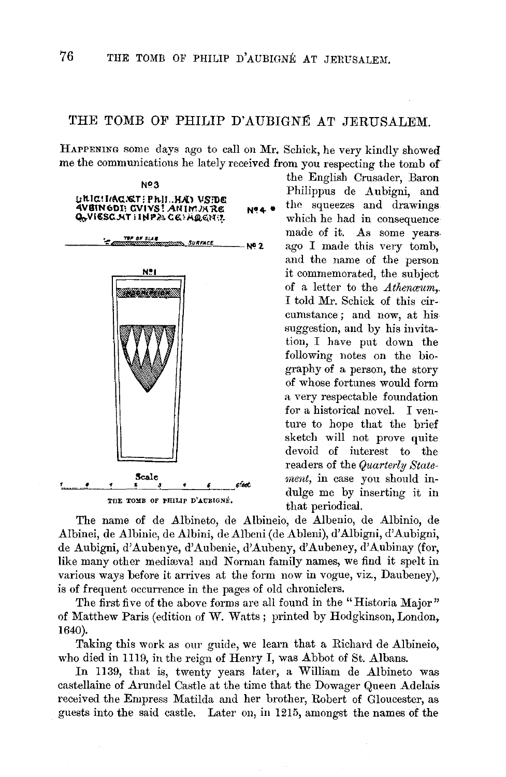## THE TOMB OF PHILIP D'AUBIGNÉ AT JERUSALEM.

HAPPENING some days ago to call on Mr. Schick, he very kindly showed me the communications he lately received from you respecting the tomb of



THE TOMB OF PHILIP D'AUBIGNÉ.

the English Crusader, Baron Nº3<br>Philippus de Aubigni, and Philippus de Aubigni, and the squeezes and drawings which he had in consequence made of it. As some years. ago I made this very tomb, and the name of the person it commemorated, the subject of a letter to the *Athenceum.-* I told Mr. Schick of this circumstance ; and now, at his suggestion, and by his invitation, I have put down the following notes on the biography of a person, the story of whose fortunes would form a very respectable foundation for a historical novel. I venture to hope that the brief sketch will not prove quite devoid of interest to the readers of the *Quarterly Statement,* in case you should indulge me by inserting it in that periodical.

The name of de Albineto, de Albineio, de Albenio, de Albinio, de Albinei, de Albinie, de Albini, de Albeni (de Ableni), d' Albigni, d' Aubigni, de Aubigni, d' Aubenye, d'Aubenie, d'Aubeny, d'Aubeney, d'Aubinay (for, like many other mediaval and Norman family names, we find it spelt in various ways before it arrives at the form now in vogue, viz., Daubeney), is of frequent occurrence in the pages of old chroniclers.

The first five of the above forms are all found in the "Historia Major" of Matthew Paris (edition of W. Watts ; printed by Hodgkinson, London, 1640).

Taking this work as our guide, we learn that a Richard de Albineio, who died in 1119, in the reign of Henry I, was Abbot of St. Albans.

In 1139, that is, twenty years later, a William de Albineto was castellaine of Arundel Castle at the time that the Dowager Queen Adelais received the Empress Matilda and her brother, Robert of Gloucester, as guests into the said castle. Later on, in 1215, amongst the names of the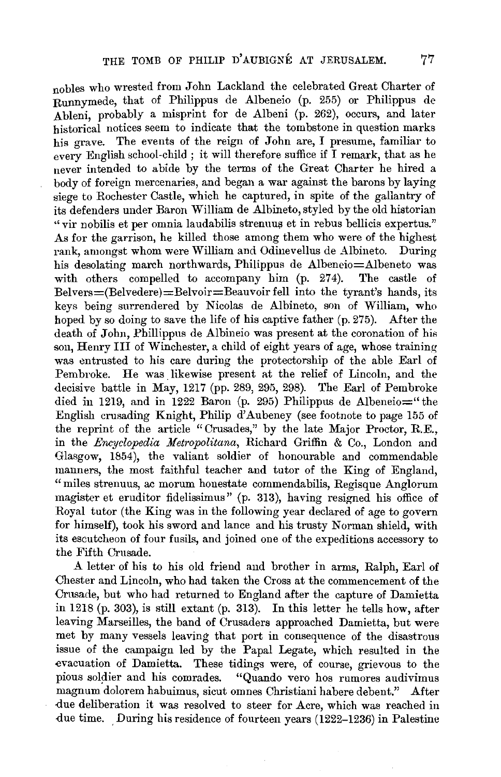nobles who wrested from John Lackland the celebrated Great Charter of Runnymede, that of Philippus de Albeneio (p. 255) or Philippus de Ableni, probably a misprint for de Albeni (p. 262), occurs, and later historical notices seem to indicate that the tombstone in question marks his grave. The events of the reign of John are, I presume, familiar to every English school-child ; it will therefore suffice if I remark, that as he never intended to abide by the terms of the Great Charter he hired a body of foreign mercenaries, and began a war against the barons by laying siege to Rochester Castle, which he captured, in spite of the gallantry of its defenders under Baron William de Albineto, styled by the old historian " vir nobilis et per omnia laudabilis strenuus et in rebus bellicis expertus." As for the garrison, he killed those among them who were of the highest rank, amongst whom were William and Odinevellus de Albineto. During his desolating march northwards, Philippus de Albeneio=Albeneto was with others compelled to accompany him (p. 274). The castle of  $Belvers = (Belvedere) = Belvoir = Beauvoir fell$  into the tyrant's hands, its keys being surrendered by Nicolas de Albineto, son of William, who hoped by so doing to save the life of his captive father (p. 275). After the death of John, Phillippus de Albineio was present at the coronation of his son, Henry Ill of Winchester, a child of eight years of age, whose training was entrusted to his care during the protectorship of the able Earl of Pembroke. He was likewise present at the relief of Lincoln, and the decisive battle in May, 1217 (pp. 289, 295, 298). The Earl of Pembroke died in 1219, and in 1222 Baron (p. 295) Philippus de Albeneio $=$ " the English crusading Knight, Philip d'Aubeney (see footnote to page 155 of the reprint of the article "Crusades," by the late Major Proctor, R.E., in the *Encyclopedia Metropolitana,* Richard Griffin & Co., London and Glasgow, 1854), the valiant soldier of honourable and commendable manners, the most faithful teacher and tutor of the King of England, "miles strenuus, ac morum honestate commendabilis, Regisque Anglorum magister et eruditor fidelissimus" (p. 313), having resigned his office of Royal tutor (the King was in the following year declared of age to govern for himself), took his sword and lance and his trusty Norman shield, with its escutcheon of four fusils, and joined one of the expeditions accessory to the Fifth Crusade.

A letter of his to his old friend and brother in arms, Ralph, Earl of Chester and Lincoln, who had taken the Cross at the commencement of the Crusade, but who had returned to England after the capture of Damietta in 1218 (p. 303), is still extant (p. 313). In this letter he tells how, after leaving Marseilles, the band of Crusaders approached Damietta, but were met by many vessels leaving that port in consequence of the disastrous issue of the campaign led by the Papal Legate, which resulted in the -evacuation of Damietta. These tidings were, of course, grievous to the pious soldier and his comrades. "Quando vero hos rumores audivimus magnum dolorem habuimus, sicut omnes Christiani habere debent." After due deliberation it was resolved to steer for Acre, which was reached in due time. During his residence of fourteen years (1222-1236) in Palestine